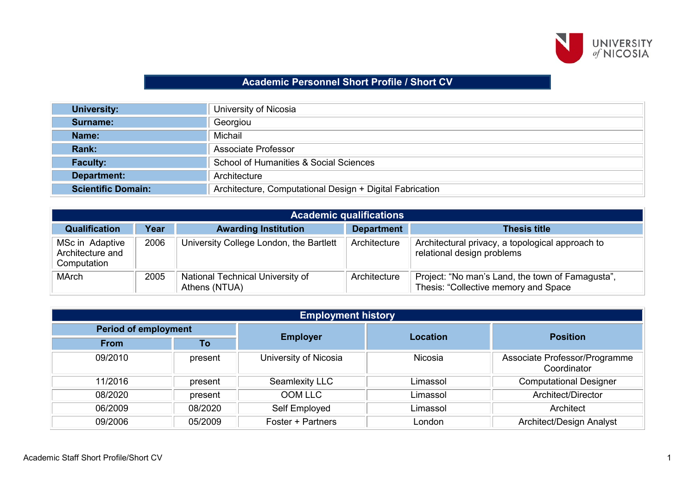

## **Academic Personnel Short Profile / Short CV**

| <b>University:</b>        | University of Nicosia                                    |
|---------------------------|----------------------------------------------------------|
| Surname:                  | Georgiou                                                 |
| Name:                     | Michail                                                  |
| Rank:                     | Associate Professor                                      |
| <b>Faculty:</b>           | School of Humanities & Social Sciences                   |
| Department:               | Architecture                                             |
| <b>Scientific Domain:</b> | Architecture, Computational Design + Digital Fabrication |

| <b>Academic qualifications</b>                     |      |                                                   |                   |                                                                                          |  |
|----------------------------------------------------|------|---------------------------------------------------|-------------------|------------------------------------------------------------------------------------------|--|
| <b>Qualification</b>                               | Year | <b>Awarding Institution</b>                       | <b>Department</b> | <b>Thesis title</b>                                                                      |  |
| MSc in Adaptive<br>Architecture and<br>Computation | 2006 | University College London, the Bartlett           | Architecture      | Architectural privacy, a topological approach to<br>relational design problems           |  |
| <b>MArch</b>                                       | 2005 | National Technical University of<br>Athens (NTUA) | Architecture      | Project: "No man's Land, the town of Famagusta",<br>Thesis: "Collective memory and Space |  |

| <b>Employment history</b>   |         |                                    |          |                                              |  |
|-----------------------------|---------|------------------------------------|----------|----------------------------------------------|--|
| <b>Period of employment</b> |         |                                    |          | <b>Position</b>                              |  |
| <b>From</b>                 | To      | <b>Employer</b><br><b>Location</b> |          |                                              |  |
| 09/2010                     | present | University of Nicosia              | Nicosia  | Associate Professor/Programme<br>Coordinator |  |
| 11/2016                     | present | Seamlexity LLC                     | Limassol | <b>Computational Designer</b>                |  |
| 08/2020                     | present | <b>OOM LLC</b>                     | Limassol | Architect/Director                           |  |
| 06/2009                     | 08/2020 | Self Employed                      | Limassol | Architect                                    |  |
| 09/2006                     | 05/2009 | Foster + Partners                  | London   | <b>Architect/Design Analyst</b>              |  |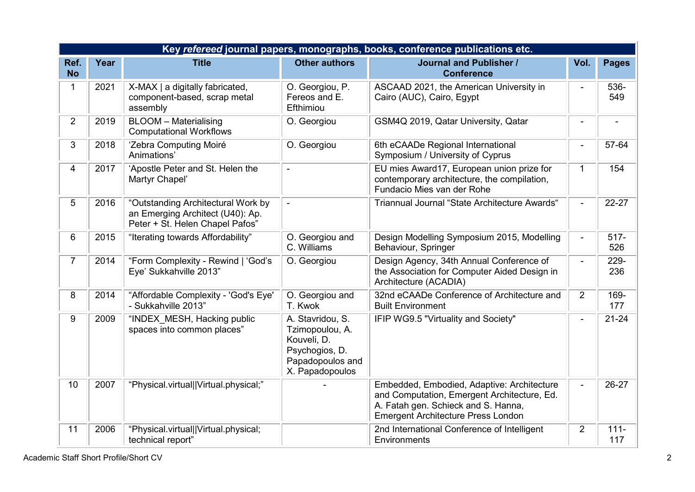|                   | Key refereed journal papers, monographs, books, conference publications etc. |                                                                                                           |                                                                                                             |                                                                                                                                                                               |                |                |  |  |
|-------------------|------------------------------------------------------------------------------|-----------------------------------------------------------------------------------------------------------|-------------------------------------------------------------------------------------------------------------|-------------------------------------------------------------------------------------------------------------------------------------------------------------------------------|----------------|----------------|--|--|
| Ref.<br><b>No</b> | Year                                                                         | <b>Title</b>                                                                                              | <b>Other authors</b>                                                                                        | <b>Journal and Publisher /</b><br><b>Conference</b>                                                                                                                           | Vol.           | <b>Pages</b>   |  |  |
| 1                 | 2021                                                                         | X-MAX   a digitally fabricated,<br>component-based, scrap metal<br>assembly                               | O. Georgiou, P.<br>Fereos and E.<br>Efthimiou                                                               | ASCAAD 2021, the American University in<br>Cairo (AUC), Cairo, Egypt                                                                                                          |                | 536-<br>549    |  |  |
| $\overline{2}$    | 2019                                                                         | <b>BLOOM - Materialising</b><br><b>Computational Workflows</b>                                            | O. Georgiou                                                                                                 | GSM4Q 2019, Qatar University, Qatar                                                                                                                                           | $\blacksquare$ |                |  |  |
| 3                 | 2018                                                                         | 'Zebra Computing Moiré<br>Animations'                                                                     | O. Georgiou                                                                                                 | 6th eCAADe Regional International<br>Symposium / University of Cyprus                                                                                                         | $\blacksquare$ | 57-64          |  |  |
| 4                 | 2017                                                                         | 'Apostle Peter and St. Helen the<br>Martyr Chapel'                                                        | $\blacksquare$                                                                                              | EU mies Award17, European union prize for<br>contemporary architecture, the compilation,<br>Fundacio Mies van der Rohe                                                        | 1              | 154            |  |  |
| 5                 | 2016                                                                         | "Outstanding Architectural Work by<br>an Emerging Architect (U40): Ap.<br>Peter + St. Helen Chapel Pafos" |                                                                                                             | Triannual Journal "State Architecture Awards"                                                                                                                                 |                | $22 - 27$      |  |  |
| 6                 | 2015                                                                         | "Iterating towards Affordability"                                                                         | O. Georgiou and<br>C. Williams                                                                              | Design Modelling Symposium 2015, Modelling<br>Behaviour, Springer                                                                                                             | $\blacksquare$ | $517 -$<br>526 |  |  |
| $\overline{7}$    | 2014                                                                         | "Form Complexity - Rewind   'God's<br>Eye' Sukkahville 2013"                                              | O. Georgiou                                                                                                 | Design Agency, 34th Annual Conference of<br>the Association for Computer Aided Design in<br>Architecture (ACADIA)                                                             | $\blacksquare$ | 229-<br>236    |  |  |
| 8                 | 2014                                                                         | "Affordable Complexity - 'God's Eye'<br>- Sukkahville 2013"                                               | O. Georgiou and<br>T. Kwok                                                                                  | 32nd eCAADe Conference of Architecture and<br><b>Built Environment</b>                                                                                                        | $\overline{2}$ | 169-<br>177    |  |  |
| 9                 | 2009                                                                         | "INDEX MESH, Hacking public<br>spaces into common places"                                                 | A. Stavridou, S.<br>Tzimopoulou, A.<br>Kouveli, D.<br>Psychogios, D.<br>Papadopoulos and<br>X. Papadopoulos | IFIP WG9.5 "Virtuality and Society"                                                                                                                                           | $\blacksquare$ | $21 - 24$      |  |  |
| 10                | 2007                                                                         | "Physical.virtual  Virtual.physical;"                                                                     |                                                                                                             | Embedded, Embodied, Adaptive: Architecture<br>and Computation, Emergent Architecture, Ed.<br>A. Fatah gen. Schieck and S. Hanna,<br><b>Emergent Architecture Press London</b> |                | 26-27          |  |  |
| 11                | 2006                                                                         | "Physical.virtual  Virtual.physical;<br>technical report"                                                 |                                                                                                             | 2nd International Conference of Intelligent<br>Environments                                                                                                                   | $\overline{2}$ | $111 -$<br>117 |  |  |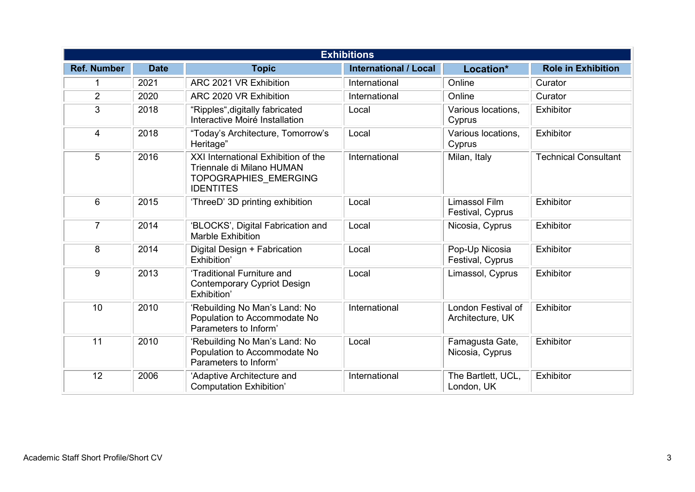| <b>Exhibitions</b> |             |                                                                                                                      |                              |                                        |                             |
|--------------------|-------------|----------------------------------------------------------------------------------------------------------------------|------------------------------|----------------------------------------|-----------------------------|
| <b>Ref. Number</b> | <b>Date</b> | <b>Topic</b>                                                                                                         | <b>International / Local</b> | Location*                              | <b>Role in Exhibition</b>   |
|                    | 2021        | ARC 2021 VR Exhibition                                                                                               | International                | Online                                 | Curator                     |
| $\overline{2}$     | 2020        | ARC 2020 VR Exhibition                                                                                               | International                | Online                                 | Curator                     |
| 3                  | 2018        | "Ripples", digitally fabricated<br>Interactive Moiré Installation                                                    | Local                        | Various locations,<br>Cyprus           | Exhibitor                   |
| $\overline{4}$     | 2018        | "Today's Architecture, Tomorrow's<br>Heritage"                                                                       | Local                        | Various locations,<br>Cyprus           | Exhibitor                   |
| 5                  | 2016        | XXI International Exhibition of the<br>Triennale di Milano HUMAN<br><b>TOPOGRAPHIES EMERGING</b><br><b>IDENTITES</b> | International                | Milan, Italy                           | <b>Technical Consultant</b> |
| 6                  | 2015        | 'ThreeD' 3D printing exhibition                                                                                      | Local                        | Limassol Film<br>Festival, Cyprus      | Exhibitor                   |
| $\overline{7}$     | 2014        | 'BLOCKS', Digital Fabrication and<br><b>Marble Exhibition</b>                                                        | Local                        | Nicosia, Cyprus                        | Exhibitor                   |
| 8                  | 2014        | Digital Design + Fabrication<br>Exhibition'                                                                          | Local                        | Pop-Up Nicosia<br>Festival, Cyprus     | Exhibitor                   |
| 9                  | 2013        | 'Traditional Furniture and<br><b>Contemporary Cypriot Design</b><br>Exhibition'                                      | Local                        | Limassol, Cyprus                       | Exhibitor                   |
| 10                 | 2010        | 'Rebuilding No Man's Land: No<br>Population to Accommodate No<br>Parameters to Inform'                               | International                | London Festival of<br>Architecture, UK | Exhibitor                   |
| 11                 | 2010        | 'Rebuilding No Man's Land: No<br>Population to Accommodate No<br>Parameters to Inform'                               | Local                        | Famagusta Gate,<br>Nicosia, Cyprus     | Exhibitor                   |
| 12                 | 2006        | 'Adaptive Architecture and<br><b>Computation Exhibition'</b>                                                         | International                | The Bartlett, UCL,<br>London, UK       | Exhibitor                   |